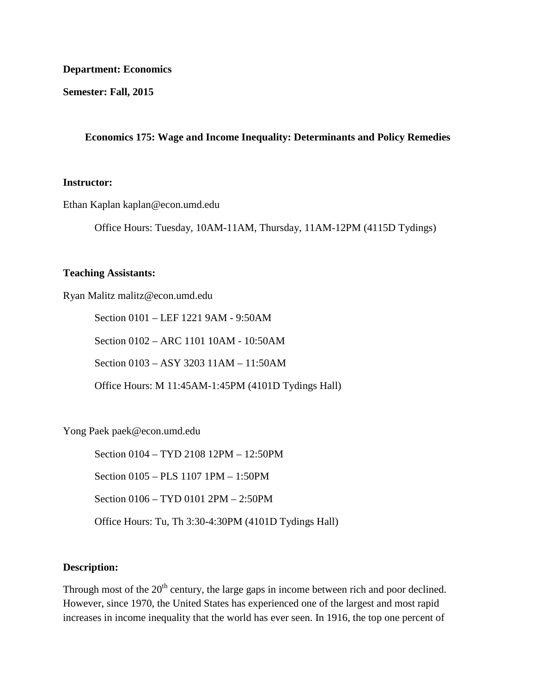#### **Department: Economics**

**Semester: Fall, 2015**

### **Economics 175: Wage and Income Inequality: Determinants and Policy Remedies**

#### **Instructor:**

Ethan Kaplan kaplan@econ.umd.edu

Office Hours: Tuesday, 10AM-11AM, Thursday, 11AM-12PM (4115D Tydings)

#### **Teaching Assistants:**

Ryan Malitz malitz@econ.umd.edu

Section 0101 – LEF 1221 9AM - 9:50AM

Section 0102 – ARC 1101 10AM - 10:50AM

Section 0103 – ASY 3203 11AM – 11:50AM

Office Hours: M 11:45AM-1:45PM (4101D Tydings Hall)

Yong Paek paek@econ.umd.edu

Section 0104 – TYD 2108 12PM – 12:50PM Section 0105 – PLS 1107 1PM – 1:50PM Section 0106 – TYD 0101 2PM – 2:50PM Office Hours: Tu, Th 3:30-4:30PM (4101D Tydings Hall)

### **Description:**

Through most of the 20<sup>th</sup> century, the large gaps in income between rich and poor declined. However, since 1970, the United States has experienced one of the largest and most rapid increases in income inequality that the world has ever seen. In 1916, the top one percent of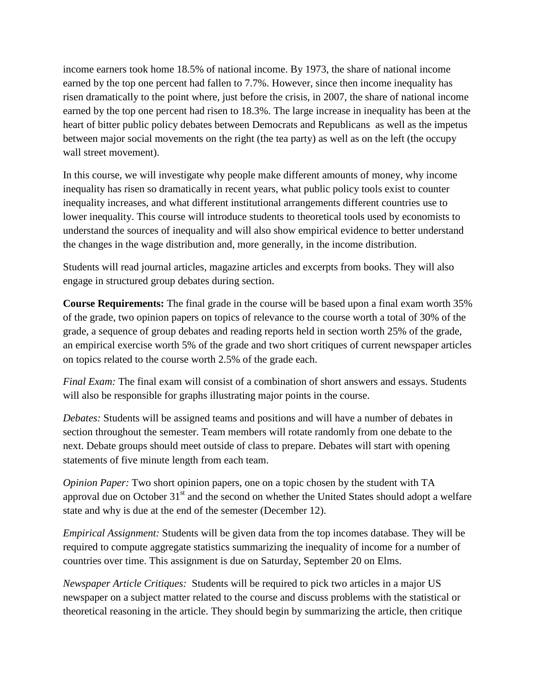income earners took home 18.5% of national income. By 1973, the share of national income earned by the top one percent had fallen to 7.7%. However, since then income inequality has risen dramatically to the point where, just before the crisis, in 2007, the share of national income earned by the top one percent had risen to 18.3%. The large increase in inequality has been at the heart of bitter public policy debates between Democrats and Republicans as well as the impetus between major social movements on the right (the tea party) as well as on the left (the occupy wall street movement).

In this course, we will investigate why people make different amounts of money, why income inequality has risen so dramatically in recent years, what public policy tools exist to counter inequality increases, and what different institutional arrangements different countries use to lower inequality. This course will introduce students to theoretical tools used by economists to understand the sources of inequality and will also show empirical evidence to better understand the changes in the wage distribution and, more generally, in the income distribution.

Students will read journal articles, magazine articles and excerpts from books. They will also engage in structured group debates during section.

**Course Requirements:** The final grade in the course will be based upon a final exam worth 35% of the grade, two opinion papers on topics of relevance to the course worth a total of 30% of the grade, a sequence of group debates and reading reports held in section worth 25% of the grade, an empirical exercise worth 5% of the grade and two short critiques of current newspaper articles on topics related to the course worth 2.5% of the grade each.

*Final Exam:* The final exam will consist of a combination of short answers and essays. Students will also be responsible for graphs illustrating major points in the course.

*Debates:* Students will be assigned teams and positions and will have a number of debates in section throughout the semester. Team members will rotate randomly from one debate to the next. Debate groups should meet outside of class to prepare. Debates will start with opening statements of five minute length from each team.

*Opinion Paper:* Two short opinion papers, one on a topic chosen by the student with TA approval due on October  $31<sup>st</sup>$  and the second on whether the United States should adopt a welfare state and why is due at the end of the semester (December 12).

*Empirical Assignment:* Students will be given data from the top incomes database. They will be required to compute aggregate statistics summarizing the inequality of income for a number of countries over time. This assignment is due on Saturday, September 20 on Elms.

*Newspaper Article Critiques:* Students will be required to pick two articles in a major US newspaper on a subject matter related to the course and discuss problems with the statistical or theoretical reasoning in the article. They should begin by summarizing the article, then critique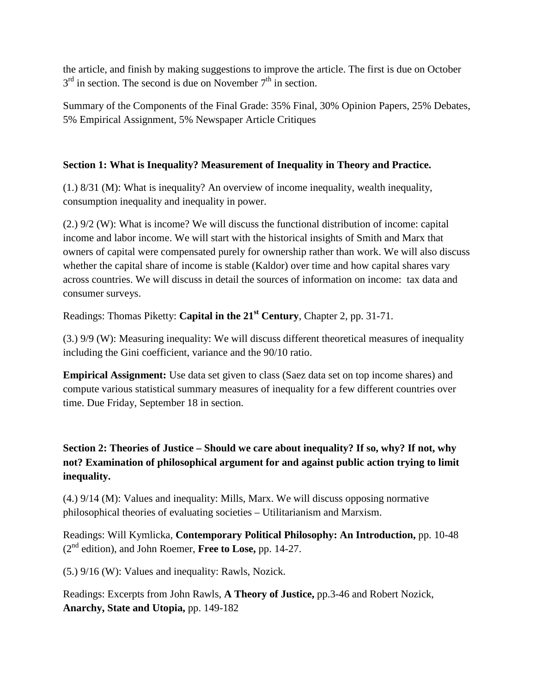the article, and finish by making suggestions to improve the article. The first is due on October  $3<sup>rd</sup>$  in section. The second is due on November  $7<sup>th</sup>$  in section.

Summary of the Components of the Final Grade: 35% Final, 30% Opinion Papers, 25% Debates, 5% Empirical Assignment, 5% Newspaper Article Critiques

# **Section 1: What is Inequality? Measurement of Inequality in Theory and Practice.**

(1.) 8/31 (M): What is inequality? An overview of income inequality, wealth inequality, consumption inequality and inequality in power.

(2.) 9/2 (W): What is income? We will discuss the functional distribution of income: capital income and labor income. We will start with the historical insights of Smith and Marx that owners of capital were compensated purely for ownership rather than work. We will also discuss whether the capital share of income is stable (Kaldor) over time and how capital shares vary across countries. We will discuss in detail the sources of information on income: tax data and consumer surveys.

Readings: Thomas Piketty: **Capital in the 21st Century**, Chapter 2, pp. 31-71.

(3.) 9/9 (W): Measuring inequality: We will discuss different theoretical measures of inequality including the Gini coefficient, variance and the 90/10 ratio.

**Empirical Assignment:** Use data set given to class (Saez data set on top income shares) and compute various statistical summary measures of inequality for a few different countries over time. Due Friday, September 18 in section.

# **Section 2: Theories of Justice – Should we care about inequality? If so, why? If not, why not? Examination of philosophical argument for and against public action trying to limit inequality.**

(4.) 9/14 (M): Values and inequality: Mills, Marx. We will discuss opposing normative philosophical theories of evaluating societies – Utilitarianism and Marxism.

Readings: Will Kymlicka, **Contemporary Political Philosophy: An Introduction,** pp. 10-48 (2nd edition), and John Roemer, **Free to Lose,** pp. 14-27.

(5.) 9/16 (W): Values and inequality: Rawls, Nozick.

Readings: Excerpts from John Rawls, **A Theory of Justice,** pp.3-46 and Robert Nozick, **Anarchy, State and Utopia,** pp. 149-182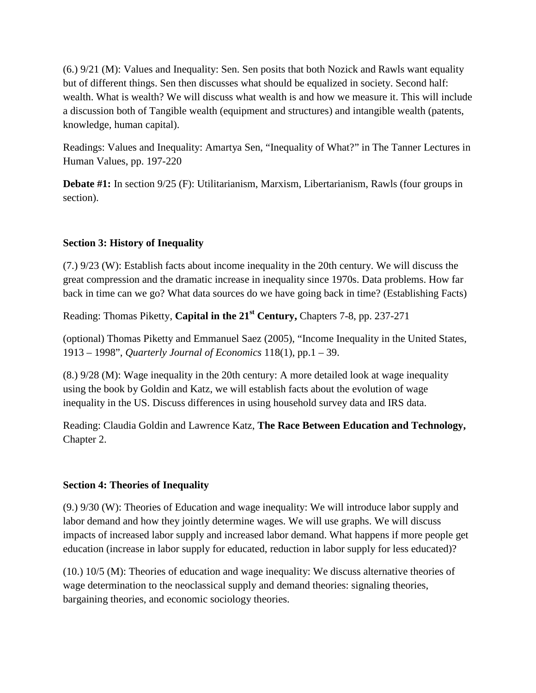(6.) 9/21 (M): Values and Inequality: Sen. Sen posits that both Nozick and Rawls want equality but of different things. Sen then discusses what should be equalized in society. Second half: wealth. What is wealth? We will discuss what wealth is and how we measure it. This will include a discussion both of Tangible wealth (equipment and structures) and intangible wealth (patents, knowledge, human capital).

Readings: Values and Inequality: Amartya Sen, "Inequality of What?" in The Tanner Lectures in Human Values, pp. 197-220

**Debate #1:** In section 9/25 (F): Utilitarianism, Marxism, Libertarianism, Rawls (four groups in section).

# **Section 3: History of Inequality**

(7.) 9/23 (W): Establish facts about income inequality in the 20th century. We will discuss the great compression and the dramatic increase in inequality since 1970s. Data problems. How far back in time can we go? What data sources do we have going back in time? (Establishing Facts)

Reading: Thomas Piketty, **Capital in the 21st Century,** Chapters 7-8, pp. 237-271

(optional) Thomas Piketty and Emmanuel Saez (2005), "Income Inequality in the United States, 1913 – 1998", *Quarterly Journal of Economics* 118(1), pp.1 – 39.

(8.) 9/28 (M): Wage inequality in the 20th century: A more detailed look at wage inequality using the book by Goldin and Katz, we will establish facts about the evolution of wage inequality in the US. Discuss differences in using household survey data and IRS data.

Reading: Claudia Goldin and Lawrence Katz, **The Race Between Education and Technology,**  Chapter 2.

## **Section 4: Theories of Inequality**

(9.) 9/30 (W): Theories of Education and wage inequality: We will introduce labor supply and labor demand and how they jointly determine wages. We will use graphs. We will discuss impacts of increased labor supply and increased labor demand. What happens if more people get education (increase in labor supply for educated, reduction in labor supply for less educated)?

(10.) 10/5 (M): Theories of education and wage inequality: We discuss alternative theories of wage determination to the neoclassical supply and demand theories: signaling theories, bargaining theories, and economic sociology theories.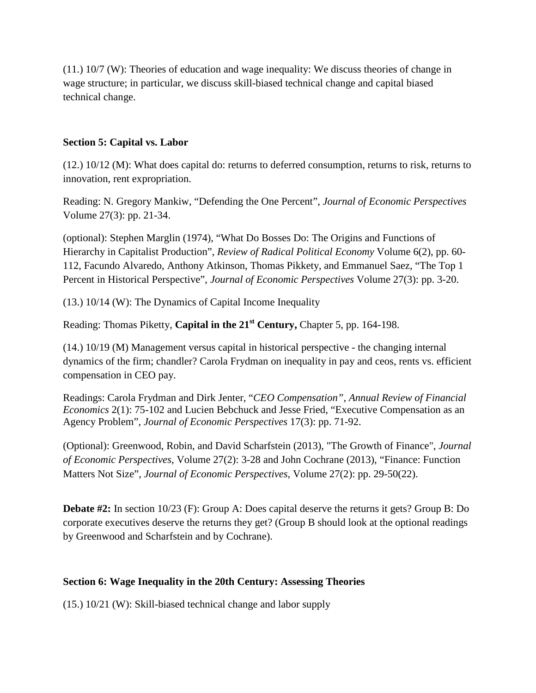(11.) 10/7 (W): Theories of education and wage inequality: We discuss theories of change in wage structure; in particular, we discuss skill-biased technical change and capital biased technical change.

## **Section 5: Capital vs. Labor**

(12.) 10/12 (M): What does capital do: returns to deferred consumption, returns to risk, returns to innovation, rent expropriation.

Reading: N. Gregory Mankiw, "Defending the One Percent", *Journal of Economic Perspectives*  Volume 27(3): pp. 21-34.

(optional): Stephen Marglin (1974), "What Do Bosses Do: The Origins and Functions of Hierarchy in Capitalist Production", *Review of Radical Political Economy* Volume 6(2), pp. 60- 112, Facundo Alvaredo, Anthony Atkinson, Thomas Pikkety, and Emmanuel Saez, "The Top 1 Percent in Historical Perspective", *Journal of Economic Perspectives* Volume 27(3): pp. 3-20.

(13.) 10/14 (W): The Dynamics of Capital Income Inequality

Reading: Thomas Piketty, **Capital in the 21st Century,** Chapter 5, pp. 164-198.

(14.) 10/19 (M) Management versus capital in historical perspective - the changing internal dynamics of the firm; chandler? Carola Frydman on inequality in pay and ceos, rents vs. efficient compensation in CEO pay.

Readings: Carola Frydman and Dirk Jenter, "*CEO Compensation"*, *Annual Review of Financial Economics* 2(1): 75-102 and Lucien Bebchuck and Jesse Fried, "Executive Compensation as an Agency Problem", *Journal of Economic Perspectives* 17(3): pp. 71-92.

(Optional): Greenwood, Robin, and David Scharfstein (2013), "The Growth of Finance", *Journal of Economic Perspectives*, Volume 27(2): 3-28 and John Cochrane (2013), "Finance: Function Matters Not Size", *Journal of Economic Perspectives,* Volume 27(2): pp. 29-50(22).

**Debate #2:** In section 10/23 (F): Group A: Does capital deserve the returns it gets? Group B: Do corporate executives deserve the returns they get? (Group B should look at the optional readings by Greenwood and Scharfstein and by Cochrane).

# **Section 6: Wage Inequality in the 20th Century: Assessing Theories**

(15.) 10/21 (W): Skill-biased technical change and labor supply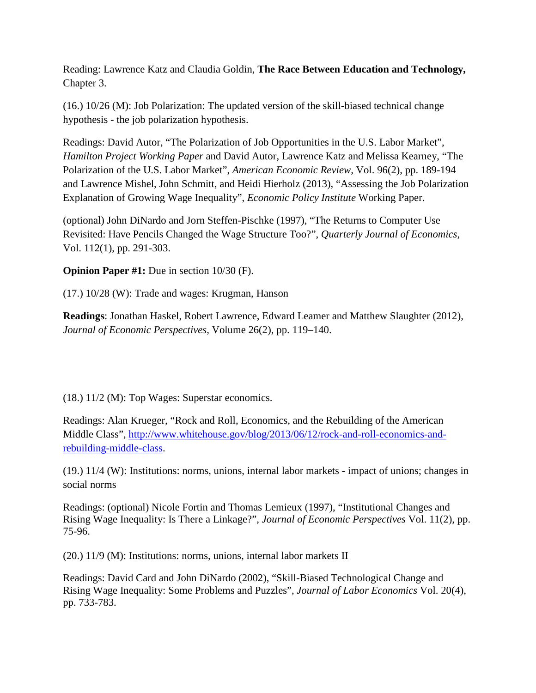Reading: Lawrence Katz and Claudia Goldin, **The Race Between Education and Technology,**  Chapter 3.

(16.) 10/26 (M): Job Polarization: The updated version of the skill-biased technical change hypothesis - the job polarization hypothesis.

Readings: David Autor, "The Polarization of Job Opportunities in the U.S. Labor Market", *Hamilton Project Working Paper* and David Autor, Lawrence Katz and Melissa Kearney, "The Polarization of the U.S. Labor Market", *American Economic Review,* Vol. 96(2), pp. 189-194 and Lawrence Mishel, John Schmitt, and Heidi Hierholz (2013), "Assessing the Job Polarization Explanation of Growing Wage Inequality", *Economic Policy Institute* Working Paper.

(optional) John DiNardo and Jorn Steffen-Pischke (1997), "The Returns to Computer Use Revisited: Have Pencils Changed the Wage Structure Too?", *Quarterly Journal of Economics,* Vol. 112(1), pp. 291-303.

**Opinion Paper #1:** Due in section 10/30 (F).

(17.) 10/28 (W): Trade and wages: Krugman, Hanson

**Readings**: Jonathan Haskel, Robert Lawrence, Edward Leamer and Matthew Slaughter (2012), *Journal of Economic Perspectives,* Volume 26(2), pp. 119–140.

(18.) 11/2 (M): Top Wages: Superstar economics.

Readings: Alan Krueger, "Rock and Roll, Economics, and the Rebuilding of the American Middle Class", [http://www.whitehouse.gov/blog/2013/06/12/rock-and-roll-economics-and](http://www.whitehouse.gov/blog/2013/06/12/rock-and-roll-economics-and-rebuilding-middle-class)[rebuilding-middle-class.](http://www.whitehouse.gov/blog/2013/06/12/rock-and-roll-economics-and-rebuilding-middle-class)

(19.) 11/4 (W): Institutions: norms, unions, internal labor markets - impact of unions; changes in social norms

Readings: (optional) Nicole Fortin and Thomas Lemieux (1997), "Institutional Changes and Rising Wage Inequality: Is There a Linkage?", *Journal of Economic Perspectives* Vol. 11(2), pp. 75-96.

(20.) 11/9 (M): Institutions: norms, unions, internal labor markets II

Readings: David Card and John DiNardo (2002), "Skill-Biased Technological Change and Rising Wage Inequality: Some Problems and Puzzles", *Journal of Labor Economics* Vol. 20(4), pp. 733-783.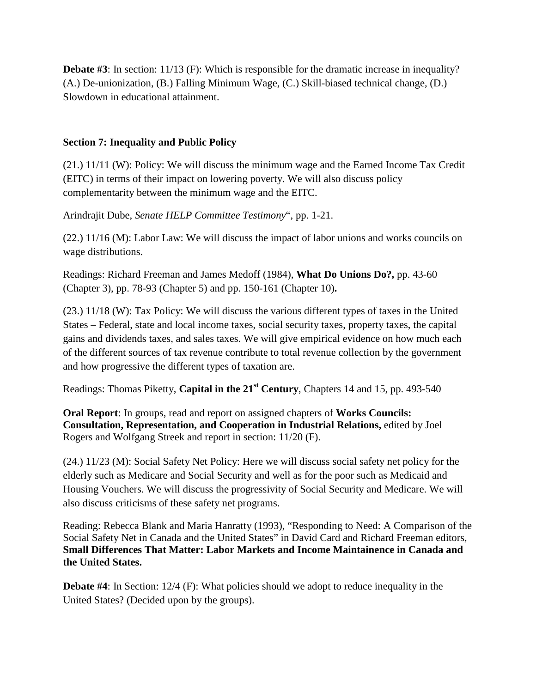**Debate #3**: In section: 11/13 (F): Which is responsible for the dramatic increase in inequality? (A.) De-unionization, (B.) Falling Minimum Wage, (C.) Skill-biased technical change, (D.) Slowdown in educational attainment.

## **Section 7: Inequality and Public Policy**

(21.) 11/11 (W): Policy: We will discuss the minimum wage and the Earned Income Tax Credit (EITC) in terms of their impact on lowering poverty. We will also discuss policy complementarity between the minimum wage and the EITC.

Arindrajit Dube, *Senate HELP Committee Testimony*", pp. 1-21.

(22.) 11/16 (M): Labor Law: We will discuss the impact of labor unions and works councils on wage distributions.

Readings: Richard Freeman and James Medoff (1984), **What Do Unions Do?,** pp. 43-60 (Chapter 3), pp. 78-93 (Chapter 5) and pp. 150-161 (Chapter 10)**.**

(23.) 11/18 (W): Tax Policy: We will discuss the various different types of taxes in the United States – Federal, state and local income taxes, social security taxes, property taxes, the capital gains and dividends taxes, and sales taxes. We will give empirical evidence on how much each of the different sources of tax revenue contribute to total revenue collection by the government and how progressive the different types of taxation are.

Readings: Thomas Piketty, **Capital in the 21st Century**, Chapters 14 and 15, pp. 493-540

**Oral Report**: In groups, read and report on assigned chapters of **Works Councils: Consultation, Representation, and Cooperation in Industrial Relations,** edited by Joel Rogers and Wolfgang Streek and report in section: 11/20 (F).

(24.) 11/23 (M): Social Safety Net Policy: Here we will discuss social safety net policy for the elderly such as Medicare and Social Security and well as for the poor such as Medicaid and Housing Vouchers. We will discuss the progressivity of Social Security and Medicare. We will also discuss criticisms of these safety net programs.

Reading: Rebecca Blank and Maria Hanratty (1993), "Responding to Need: A Comparison of the Social Safety Net in Canada and the United States" in David Card and Richard Freeman editors, **Small Differences That Matter: Labor Markets and Income Maintainence in Canada and the United States.**

**Debate #4:** In Section: 12/4 (F): What policies should we adopt to reduce inequality in the United States? (Decided upon by the groups).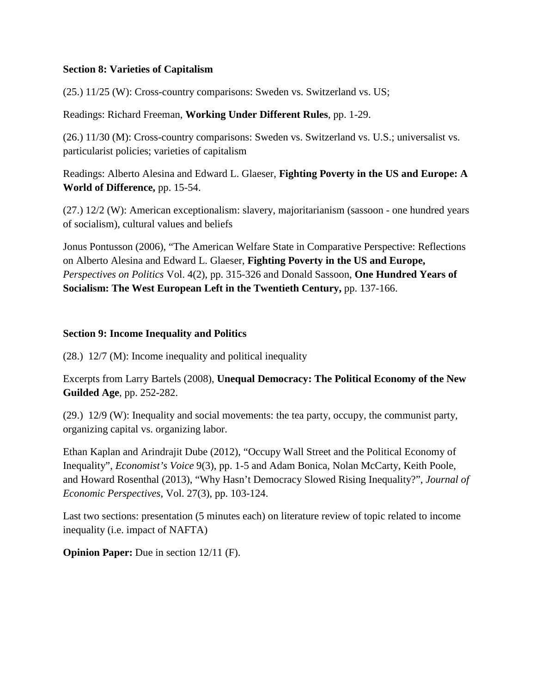## **Section 8: Varieties of Capitalism**

(25.) 11/25 (W): Cross-country comparisons: Sweden vs. Switzerland vs. US;

### Readings: Richard Freeman, **Working Under Different Rules**, pp. 1-29.

(26.) 11/30 (M): Cross-country comparisons: Sweden vs. Switzerland vs. U.S.; universalist vs. particularist policies; varieties of capitalism

Readings: Alberto Alesina and Edward L. Glaeser, **Fighting Poverty in the US and Europe: A World of Difference,** pp. 15-54.

(27.) 12/2 (W): American exceptionalism: slavery, majoritarianism (sassoon - one hundred years of socialism), cultural values and beliefs

Jonus Pontusson (2006), "The American Welfare State in Comparative Perspective: Reflections on Alberto Alesina and Edward L. Glaeser, **Fighting Poverty in the US and Europe,** *Perspectives on Politics* Vol. 4(2), pp. 315-326 and Donald Sassoon, **One Hundred Years of Socialism: The West European Left in the Twentieth Century,** pp. 137-166.

### **Section 9: Income Inequality and Politics**

(28.) 12/7 (M): Income inequality and political inequality

Excerpts from Larry Bartels (2008), **Unequal Democracy: The Political Economy of the New Guilded Age**, pp. 252-282.

(29.) 12/9 (W): Inequality and social movements: the tea party, occupy, the communist party, organizing capital vs. organizing labor.

Ethan Kaplan and Arindrajit Dube (2012), "Occupy Wall Street and the Political Economy of Inequality", *Economist's Voice* 9(3), pp. 1-5 and Adam Bonica, Nolan McCarty, Keith Poole, and Howard Rosenthal (2013), "Why Hasn't Democracy Slowed Rising Inequality?", *Journal of Economic Perspectives*, Vol. 27(3), pp. 103-124.

Last two sections: presentation (5 minutes each) on literature review of topic related to income inequality (i.e. impact of NAFTA)

**Opinion Paper:** Due in section 12/11 (F).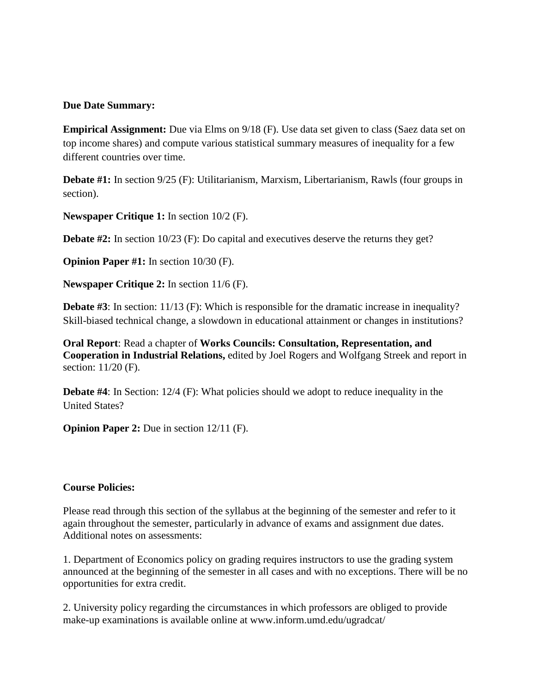### **Due Date Summary:**

**Empirical Assignment:** Due via Elms on  $9/18$  (F). Use data set given to class (Saez data set on top income shares) and compute various statistical summary measures of inequality for a few different countries over time.

**Debate #1:** In section 9/25 (F): Utilitarianism, Marxism, Libertarianism, Rawls (four groups in section).

**Newspaper Critique 1:** In section 10/2 (F).

**Debate #2:** In section 10/23 (F): Do capital and executives deserve the returns they get?

**Opinion Paper #1:** In section  $10/30$  (F).

**Newspaper Critique 2:** In section 11/6 (F).

**Debate #3**: In section: 11/13 (F): Which is responsible for the dramatic increase in inequality? Skill-biased technical change, a slowdown in educational attainment or changes in institutions?

**Oral Report**: Read a chapter of **Works Councils: Consultation, Representation, and Cooperation in Industrial Relations,** edited by Joel Rogers and Wolfgang Streek and report in section: 11/20 (F).

**Debate #4:** In Section: 12/4 (F): What policies should we adopt to reduce inequality in the United States?

**Opinion Paper 2:** Due in section 12/11 (F).

#### **Course Policies:**

Please read through this section of the syllabus at the beginning of the semester and refer to it again throughout the semester, particularly in advance of exams and assignment due dates. Additional notes on assessments:

1. Department of Economics policy on grading requires instructors to use the grading system announced at the beginning of the semester in all cases and with no exceptions. There will be no opportunities for extra credit.

2. University policy regarding the circumstances in which professors are obliged to provide make-up examinations is available online at www.inform.umd.edu/ugradcat/